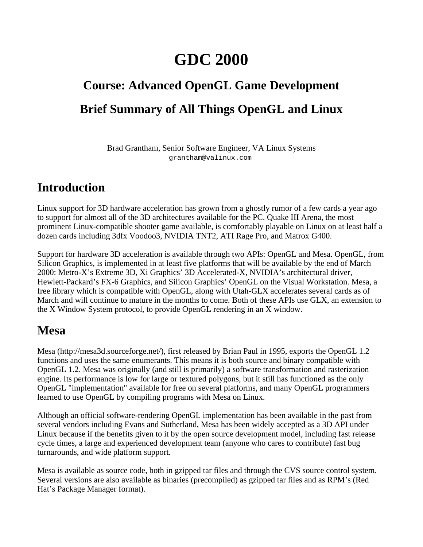# **GDC 2000**

# **Course: Advanced OpenGL Game Development Brief Summary of All Things OpenGL and Linux**

Brad Grantham, Senior Software Engineer, VA Linux Systems grantham@valinux.com

#### **Introduction**

Linux support for 3D hardware acceleration has grown from a ghostly rumor of a few cards a year ago to support for almost all of the 3D architectures available for the PC. Quake III Arena, the most prominent Linux-compatible shooter game available, is comfortably playable on Linux on at least half a dozen cards including 3dfx Voodoo3, NVIDIA TNT2, ATI Rage Pro, and Matrox G400.

Support for hardware 3D acceleration is available through two APIs: OpenGL and Mesa. OpenGL, from Silicon Graphics, is implemented in at least five platforms that will be available by the end of March 2000: Metro-X's Extreme 3D, Xi Graphics' 3D Accelerated-X, NVIDIA's architectural driver, Hewlett-Packard's FX-6 Graphics, and Silicon Graphics' OpenGL on the Visual Workstation. Mesa, a free library which is compatible with OpenGL, along with Utah-GLX accelerates several cards as of March and will continue to mature in the months to come. Both of these APIs use GLX, an extension to the X Window System protocol, to provide OpenGL rendering in an X window.

#### **Mesa**

Mesa (http://mesa3d.sourceforge.net/), first released by Brian Paul in 1995, exports the OpenGL 1.2 functions and uses the same enumerants. This means it is both source and binary compatible with OpenGL 1.2. Mesa was originally (and still is primarily) a software transformation and rasterization engine. Its performance is low for large or textured polygons, but it still has functioned as the only OpenGL "implementation" available for free on several platforms, and many OpenGL programmers learned to use OpenGL by compiling programs with Mesa on Linux.

Although an official software-rendering OpenGL implementation has been available in the past from several vendors including Evans and Sutherland, Mesa has been widely accepted as a 3D API under Linux because if the benefits given to it by the open source development model, including fast release cycle times, a large and experienced development team (anyone who cares to contribute) fast bug turnarounds, and wide platform support.

Mesa is available as source code, both in gzipped tar files and through the CVS source control system. Several versions are also available as binaries (precompiled) as gzipped tar files and as RPM's (Red Hat's Package Manager format).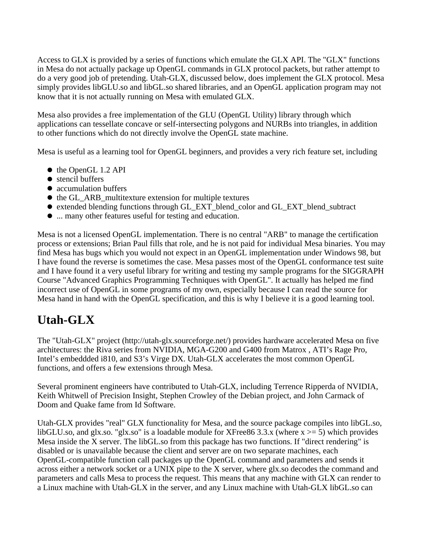Access to GLX is provided by a series of functions which emulate the GLX API. The "GLX" functions in Mesa do not actually package up OpenGL commands in GLX protocol packets, but rather attempt to do a very good job of pretending. Utah-GLX, discussed below, does implement the GLX protocol. Mesa simply provides libGLU.so and libGL.so shared libraries, and an OpenGL application program may not know that it is not actually running on Mesa with emulated GLX.

Mesa also provides a free implementation of the GLU (OpenGL Utility) library through which applications can tessellate concave or self-intersecting polygons and NURBs into triangles, in addition to other functions which do not directly involve the OpenGL state machine.

Mesa is useful as a learning tool for OpenGL beginners, and provides a very rich feature set, including

- the OpenGL 1.2 API
- stencil buffers
- accumulation buffers
- the GL\_ARB\_multitexture extension for multiple textures
- extended blending functions through GL\_EXT\_blend\_color and GL\_EXT\_blend\_subtract
- ... many other features useful for testing and education.

Mesa is not a licensed OpenGL implementation. There is no central "ARB" to manage the certification process or extensions; Brian Paul fills that role, and he is not paid for individual Mesa binaries. You may find Mesa has bugs which you would not expect in an OpenGL implementation under Windows 98, but I have found the reverse is sometimes the case. Mesa passes most of the OpenGL conformance test suite and I have found it a very useful library for writing and testing my sample programs for the SIGGRAPH Course "Advanced Graphics Programming Techniques with OpenGL". It actually has helped me find incorrect use of OpenGL in some programs of my own, especially because I can read the source for Mesa hand in hand with the OpenGL specification, and this is why I believe it is a good learning tool.

## **Utah-GLX**

The "Utah-GLX" project (http://utah-glx.sourceforge.net/) provides hardware accelerated Mesa on five architectures: the Riva series from NVIDIA, MGA-G200 and G400 from Matrox , ATI's Rage Pro, Intel's embeddded i810, and S3's Virge DX. Utah-GLX accelerates the most common OpenGL functions, and offers a few extensions through Mesa.

Several prominent engineers have contributed to Utah-GLX, including Terrence Ripperda of NVIDIA, Keith Whitwell of Precision Insight, Stephen Crowley of the Debian project, and John Carmack of Doom and Quake fame from Id Software.

Utah-GLX provides "real" GLX functionality for Mesa, and the source package compiles into libGL.so, libGLU.so, and glx.so. "glx.so" is a loadable module for XFree86 3.3.x (where  $x \ge 5$ ) which provides Mesa inside the X server. The libGL.so from this package has two functions. If "direct rendering" is disabled or is unavailable because the client and server are on two separate machines, each OpenGL-compatible function call packages up the OpenGL command and parameters and sends it across either a network socket or a UNIX pipe to the X server, where glx.so decodes the command and parameters and calls Mesa to process the request. This means that any machine with GLX can render to a Linux machine with Utah-GLX in the server, and any Linux machine with Utah-GLX libGL.so can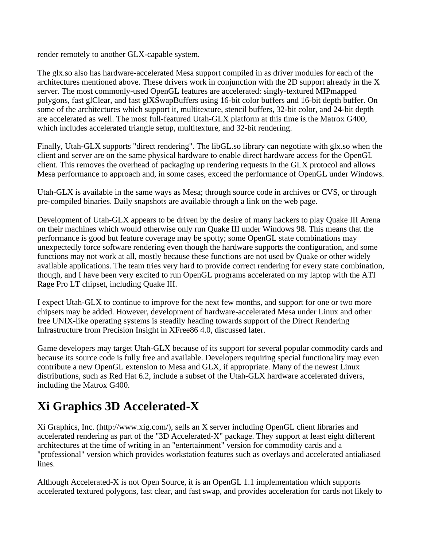render remotely to another GLX-capable system.

The glx.so also has hardware-accelerated Mesa support compiled in as driver modules for each of the architectures mentioned above. These drivers work in conjunction with the 2D support already in the X server. The most commonly-used OpenGL features are accelerated: singly-textured MIPmapped polygons, fast glClear, and fast glXSwapBuffers using 16-bit color buffers and 16-bit depth buffer. On some of the architectures which support it, multitexture, stencil buffers, 32-bit color, and 24-bit depth are accelerated as well. The most full-featured Utah-GLX platform at this time is the Matrox G400, which includes accelerated triangle setup, multitexture, and 32-bit rendering.

Finally, Utah-GLX supports "direct rendering". The libGL.so library can negotiate with glx.so when the client and server are on the same physical hardware to enable direct hardware access for the OpenGL client. This removes the overhead of packaging up rendering requests in the GLX protocol and allows Mesa performance to approach and, in some cases, exceed the performance of OpenGL under Windows.

Utah-GLX is available in the same ways as Mesa; through source code in archives or CVS, or through pre-compiled binaries. Daily snapshots are available through a link on the web page.

Development of Utah-GLX appears to be driven by the desire of many hackers to play Quake III Arena on their machines which would otherwise only run Quake III under Windows 98. This means that the performance is good but feature coverage may be spotty; some OpenGL state combinations may unexpectedly force software rendering even though the hardware supports the configuration, and some functions may not work at all, mostly because these functions are not used by Quake or other widely available applications. The team tries very hard to provide correct rendering for every state combination, though, and I have been very excited to run OpenGL programs accelerated on my laptop with the ATI Rage Pro LT chipset, including Quake III.

I expect Utah-GLX to continue to improve for the next few months, and support for one or two more chipsets may be added. However, development of hardware-accelerated Mesa under Linux and other free UNIX-like operating systems is steadily heading towards support of the Direct Rendering Infrastructure from Precision Insight in XFree86 4.0, discussed later.

Game developers may target Utah-GLX because of its support for several popular commodity cards and because its source code is fully free and available. Developers requiring special functionality may even contribute a new OpenGL extension to Mesa and GLX, if appropriate. Many of the newest Linux distributions, such as Red Hat 6.2, include a subset of the Utah-GLX hardware accelerated drivers, including the Matrox G400.

# **Xi Graphics 3D Accelerated-X**

Xi Graphics, Inc. (http://www.xig.com/), sells an X server including OpenGL client libraries and accelerated rendering as part of the "3D Accelerated-X" package. They support at least eight different architectures at the time of writing in an "entertainment" version for commodity cards and a "professional" version which provides workstation features such as overlays and accelerated antialiased lines.

Although Accelerated-X is not Open Source, it is an OpenGL 1.1 implementation which supports accelerated textured polygons, fast clear, and fast swap, and provides acceleration for cards not likely to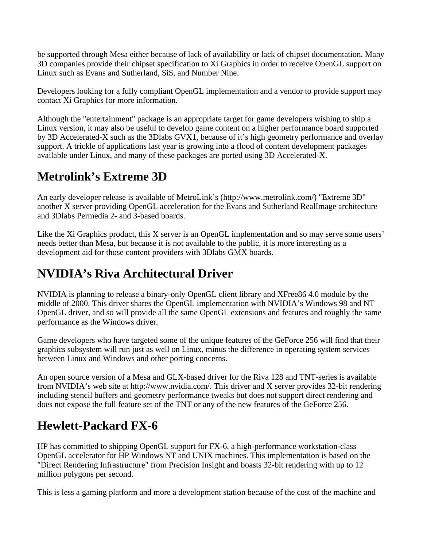be supported through Mesa either because of lack of availability or lack of chipset documentation. Many 3D companies provide their chipset specification to Xi Graphics in order to receive OpenGL support on Linux such as Evans and Sutherland, SiS, and Number Nine.

Developers looking for a fully compliant OpenGL implementation and a vendor to provide support may contact Xi Graphics for more information.

Although the "entertainment" package is an appropriate target for game developers wishing to ship a Linux version, it may also be useful to develop game content on a higher performance board supported by 3D Accelerated-X such as the 3Dlabs GVX1, because of it's high geometry performance and overlay support. A trickle of applications last year is growing into a flood of content development packages available under Linux, and many of these packages are ported using 3D Accelerated-X.

## **Metrolink's Extreme 3D**

An early developer release is available of MetroLink's (http://www.metrolink.com/) "Extreme 3D" another X server providing OpenGL acceleration for the Evans and Sutherland RealImage architecture and 3Dlabs Permedia 2- and 3-based boards.

Like the Xi Graphics product, this X server is an OpenGL implementation and so may serve some users' needs better than Mesa, but because it is not available to the public, it is more interesting as a development aid for those content providers with 3Dlabs GMX boards.

# **NVIDIA's Riva Architectural Driver**

NVIDIA is planning to release a binary-only OpenGL client library and XFree86 4.0 module by the middle of 2000. This driver shares the OpenGL implementation with NVIDIA's Windows 98 and NT OpenGL driver, and so will provide all the same OpenGL extensions and features and roughly the same performance as the Windows driver.

Game developers who have targeted some of the unique features of the GeForce 256 will find that their graphics subsystem will run just as well on Linux, minus the difference in operating system services between Linux and Windows and other porting concerns.

An open source version of a Mesa and GLX-based driver for the Riva 128 and TNT-series is available from NVIDIA's web site at http://www.nvidia.com/. This driver and X server provides 32-bit rendering including stencil buffers and geometry performance tweaks but does not support direct rendering and does not expose the full feature set of the TNT or any of the new features of the GeForce 256.

# **Hewlett-Packard FX-6**

HP has committed to shipping OpenGL support for FX-6, a high-performance workstation-class OpenGL accelerator for HP Windows NT and UNIX machines. This implementation is based on the "Direct Rendering Infrastructure" from Precision Insight and boasts 32-bit rendering with up to 12 million polygons per second.

This is less a gaming platform and more a development station because of the cost of the machine and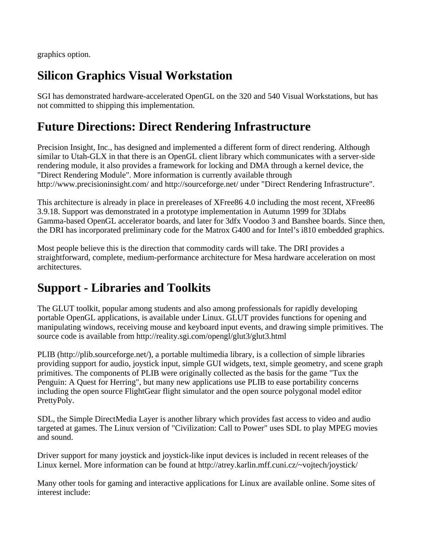graphics option.

## **Silicon Graphics Visual Workstation**

SGI has demonstrated hardware-accelerated OpenGL on the 320 and 540 Visual Workstations, but has not committed to shipping this implementation.

### **Future Directions: Direct Rendering Infrastructure**

Precision Insight, Inc., has designed and implemented a different form of direct rendering. Although similar to Utah-GLX in that there is an OpenGL client library which communicates with a server-side rendering module, it also provides a framework for locking and DMA through a kernel device, the "Direct Rendering Module". More information is currently available through http://www.precisioninsight.com/ and http://sourceforge.net/ under "Direct Rendering Infrastructure".

This architecture is already in place in prereleases of XFree86 4.0 including the most recent, XFree86 3.9.18. Support was demonstrated in a prototype implementation in Autumn 1999 for 3Dlabs Gamma-based OpenGL accelerator boards, and later for 3dfx Voodoo 3 and Banshee boards. Since then, the DRI has incorporated preliminary code for the Matrox G400 and for Intel's i810 embedded graphics.

Most people believe this is the direction that commodity cards will take. The DRI provides a straightforward, complete, medium-performance architecture for Mesa hardware acceleration on most architectures.

#### **Support - Libraries and Toolkits**

The GLUT toolkit, popular among students and also among professionals for rapidly developing portable OpenGL applications, is available under Linux. GLUT provides functions for opening and manipulating windows, receiving mouse and keyboard input events, and drawing simple primitives. The source code is available from http://reality.sgi.com/opengl/glut3/glut3.html

PLIB (http://plib.sourceforge.net/), a portable multimedia library, is a collection of simple libraries providing support for audio, joystick input, simple GUI widgets, text, simple geometry, and scene graph primitives. The components of PLIB were originally collected as the basis for the game "Tux the Penguin: A Quest for Herring", but many new applications use PLIB to ease portability concerns including the open source FlightGear flight simulator and the open source polygonal model editor PrettyPoly.

SDL, the Simple DirectMedia Layer is another library which provides fast access to video and audio targeted at games. The Linux version of "Civilization: Call to Power" uses SDL to play MPEG movies and sound.

Driver support for many joystick and joystick-like input devices is included in recent releases of the Linux kernel. More information can be found at http://atrey.karlin.mff.cuni.cz/~vojtech/joystick/.

Many other tools for gaming and interactive applications for Linux are available online. Some sites of interest include: